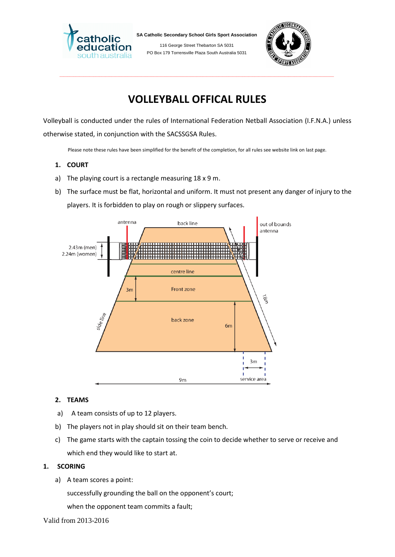

**SA Catholic Secondary School Girls Sport Association**

116 George Street Thebarton SA 5031 PO Box 179 Torrensville Plaza South Australia 5031



# **VOLLEYBALL OFFICAL RULES**

\_\_\_\_\_\_\_\_\_\_\_\_\_\_\_\_\_\_\_\_\_\_\_\_\_\_\_\_\_\_\_\_\_\_\_\_\_\_\_\_\_\_\_\_\_\_\_\_\_\_\_\_\_\_\_\_\_\_\_\_\_\_\_\_\_\_\_\_\_\_\_\_\_\_\_\_\_\_\_\_\_\_\_\_\_\_\_\_\_\_\_\_\_\_\_\_\_\_\_\_\_\_\_\_\_\_\_\_\_\_\_\_\_\_\_\_\_\_\_\_\_\_\_\_\_\_\_\_\_\_\_\_\_\_\_\_\_\_

Volleyball is conducted under the rules of International Federation Netball Association (I.F.N.A.) unless otherwise stated, in conjunction with the SACSSGSA Rules.

Please note these rules have been simplified for the benefit of the completion, for all rules see website link on last page.

- **1. COURT**
- a) The playing court is a rectangle measuring 18 x 9 m.
- b) The surface must be flat, horizontal and uniform. It must not present any danger of injury to the players. It is forbidden to play on rough or slippery surfaces.



# **2. TEAMS**

- a) A team consists of up to 12 players.
- b) The players not in play should sit on their team bench.
- c) The game starts with the captain tossing the coin to decide whether to serve or receive and which end they would like to start at.

# **1. SCORING**

a) A team scores a point:

successfully grounding the ball on the opponent's court;

when the opponent team commits a fault;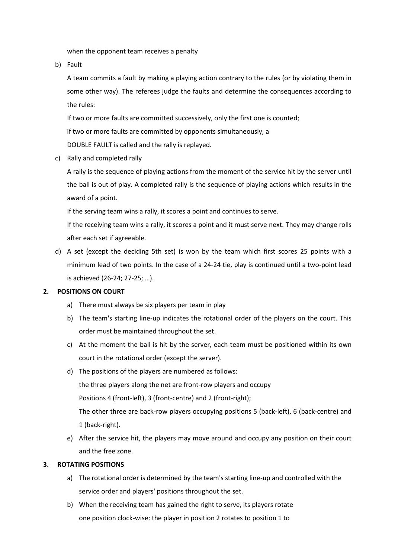when the opponent team receives a penalty

b) Fault

A team commits a fault by making a playing action contrary to the rules (or by violating them in some other way). The referees judge the faults and determine the consequences according to the rules:

If two or more faults are committed successively, only the first one is counted;

if two or more faults are committed by opponents simultaneously, a

DOUBLE FAULT is called and the rally is replayed.

c) Rally and completed rally

A rally is the sequence of playing actions from the moment of the service hit by the server until the ball is out of play. A completed rally is the sequence of playing actions which results in the award of a point.

If the serving team wins a rally, it scores a point and continues to serve.

If the receiving team wins a rally, it scores a point and it must serve next. They may change rolls after each set if agreeable.

d) A set (except the deciding 5th set) is won by the team which first scores 25 points with a minimum lead of two points. In the case of a 24-24 tie, play is continued until a two-point lead is achieved (26-24; 27-25; …).

# **2. POSITIONS ON COURT**

- a) There must always be six players per team in play
- b) The team's starting line-up indicates the rotational order of the players on the court. This order must be maintained throughout the set.
- c) At the moment the ball is hit by the server, each team must be positioned within its own court in the rotational order (except the server).
- d) The positions of the players are numbered as follows: the three players along the net are front-row players and occupy Positions 4 (front-left), 3 (front-centre) and 2 (front-right); The other three are back-row players occupying positions 5 (back-left), 6 (back-centre) and 1 (back-right).
- e) After the service hit, the players may move around and occupy any position on their court and the free zone.

#### **3. ROTATING POSITIONS**

- a) The rotational order is determined by the team's starting line-up and controlled with the service order and players' positions throughout the set.
- b) When the receiving team has gained the right to serve, its players rotate one position clock-wise: the player in position 2 rotates to position 1 to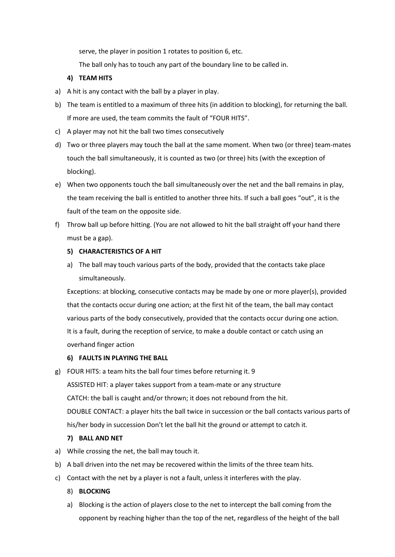serve, the player in position 1 rotates to position 6, etc.

The ball only has to touch any part of the boundary line to be called in.

# **4) TEAM HITS**

- a) A hit is any contact with the ball by a player in play.
- b) The team is entitled to a maximum of three hits (in addition to blocking), for returning the ball. If more are used, the team commits the fault of "FOUR HITS".
- c) A player may not hit the ball two times consecutively
- d) Two or three players may touch the ball at the same moment. When two (or three) team-mates touch the ball simultaneously, it is counted as two (or three) hits (with the exception of blocking).
- e) When two opponents touch the ball simultaneously over the net and the ball remains in play, the team receiving the ball is entitled to another three hits. If such a ball goes "out", it is the fault of the team on the opposite side.
- f) Throw ball up before hitting. (You are not allowed to hit the ball straight off your hand there must be a gap).

# **5) CHARACTERISTICS OF A HIT**

a) The ball may touch various parts of the body, provided that the contacts take place simultaneously.

Exceptions: at blocking, consecutive contacts may be made by one or more player(s), provided that the contacts occur during one action; at the first hit of the team, the ball may contact various parts of the body consecutively, provided that the contacts occur during one action. It is a fault, during the reception of service, to make a double contact or catch using an overhand finger action

# **6) FAULTS IN PLAYING THE BALL**

g) FOUR HITS: a team hits the ball four times before returning it. 9

ASSISTED HIT: a player takes support from a team-mate or any structure CATCH: the ball is caught and/or thrown; it does not rebound from the hit. DOUBLE CONTACT: a player hits the ball twice in succession or the ball contacts various parts of his/her body in succession Don't let the ball hit the ground or attempt to catch it.

# **7) BALL AND NET**

- a) While crossing the net, the ball may touch it.
- b) A ball driven into the net may be recovered within the limits of the three team hits.
- c) Contact with the net by a player is not a fault, unless it interferes with the play.
	- 8) **BLOCKING**
	- a) Blocking is the action of players close to the net to intercept the ball coming from the opponent by reaching higher than the top of the net, regardless of the height of the ball